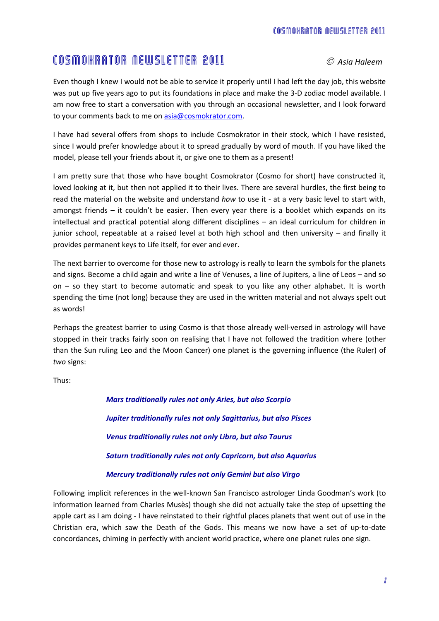## COSMOKRATOR NEWSLETTER 2011 *C Asia Haleem*

Even though I knew I would not be able to service it properly until I had left the day job, this website was put up five years ago to put its foundations in place and make the 3-D zodiac model available. I am now free to start a conversation with you through an occasional newsletter, and I look forward to your comments back to me o[n asia@cosmokrator.com.](mailto:asia@cosmokrator.com)

I have had several offers from shops to include Cosmokrator in their stock, which I have resisted, since I would prefer knowledge about it to spread gradually by word of mouth. If you have liked the model, please tell your friends about it, or give one to them as a present!

I am pretty sure that those who have bought Cosmokrator (Cosmo for short) have constructed it, loved looking at it, but then not applied it to their lives. There are several hurdles, the first being to read the material on the website and understand *how* to use it - at a very basic level to start with, amongst friends – it couldn't be easier. Then every year there is a booklet which expands on its intellectual and practical potential along different disciplines – an ideal curriculum for children in junior school, repeatable at a raised level at both high school and then university – and finally it provides permanent keys to Life itself, for ever and ever.

The next barrier to overcome for those new to astrology is really to learn the symbols for the planets and signs. Become a child again and write a line of Venuses, a line of Jupiters, a line of Leos – and so on – so they start to become automatic and speak to you like any other alphabet. It is worth spending the time (not long) because they are used in the written material and not always spelt out as words!

Perhaps the greatest barrier to using Cosmo is that those already well-versed in astrology will have stopped in their tracks fairly soon on realising that I have not followed the tradition where (other than the Sun ruling Leo and the Moon Cancer) one planet is the governing influence (the Ruler) of *two* signs:

Thus:

*Mars traditionally rules not only Aries, but also Scorpio Jupiter traditionally rules not only Sagittarius, but also Pisces Venus traditionally rules not only Libra, but also Taurus Saturn traditionally rules not only Capricorn, but also Aquarius Mercury traditionally rules not only Gemini but also Virgo*

Following implicit references in the well-known San Francisco astrologer Linda Goodman's work (to information learned from Charles Musès) though she did not actually take the step of upsetting the apple cart as I am doing - I have reinstated to their rightful places planets that went out of use in the Christian era, which saw the Death of the Gods. This means we now have a set of up-to-date concordances, chiming in perfectly with ancient world practice, where one planet rules one sign.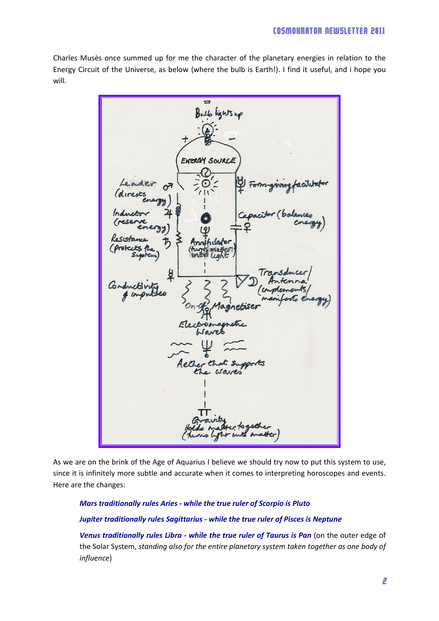Charles Musès once summed up for me the character of the planetary energies in relation to the Energy Circuit of the Universe, as below (where the bulb is Earth!). I find it useful, and i hope you will.



As we are on the brink of the Age of Aquarius I believe we should try now to put this system to use, since it is infinitely more subtle and accurate when it comes to interpreting horoscopes and events. Here are the changes:

## *Mars traditionally rules Aries - while the true ruler of Scorpio is Pluto Jupiter traditionally rules Sagittarius - while the true ruler of Pisces is Neptune*

*Venus traditionally rules Libra - while the true ruler of Taurus is Pan* (on the outer edge of the Solar System, *standing also for the entire planetary system taken together as one body of influence*)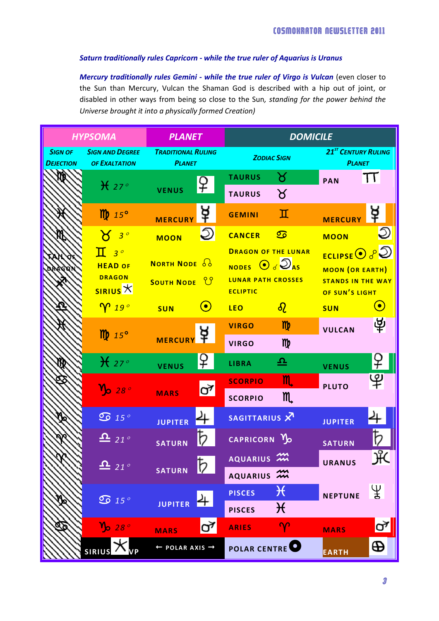## *Saturn traditionally rules Capricorn - while the true ruler of Aquarius is Uranus*

*Mercury traditionally rules Gemini - while the true ruler of Virgo is Vulcan* (even closer to the Sun than Mercury, Vulcan the Shaman God is described with a hip out of joint, or disabled in other ways from being so close to the Sun*, standing for the power behind the Universe brought it into a physically formed Creation)*

| <b>HYPSOMA</b>                     |                                                               | <b>PLANET</b>                                |                                                | <b>DOMICILE</b>                                                                                  |                                |                                                                                              |           |
|------------------------------------|---------------------------------------------------------------|----------------------------------------------|------------------------------------------------|--------------------------------------------------------------------------------------------------|--------------------------------|----------------------------------------------------------------------------------------------|-----------|
| <b>SIGN OF</b><br><b>DEJECTION</b> | <b>SIGN AND DEGREE</b><br><b>OF EXALTATION</b>                | <b>TRADITIONAL RULING</b><br><b>PLANET</b>   |                                                | <b>ZODIAC SIGN</b>                                                                               |                                | <b>21<sup>ST</sup> CENTURY RULING</b><br><b>PLANET</b>                                       |           |
|                                    | $\mathcal{H}$ 27°                                             | <b>VENUS</b>                                 | ¥                                              | <b>TAURUS</b><br><b>TAURUS</b>                                                                   | ୪<br>୪                         | <b>PAN</b>                                                                                   | TT        |
|                                    | $\mathbf{m}$ 15°                                              | <b>MERCURY</b>                               | ¥                                              | <b>GEMINI</b>                                                                                    | П                              | <b>MERCURY</b>                                                                               | ₽         |
|                                    | $3^{\circ}$                                                   | <b>MOON</b>                                  |                                                | <b>CANCER</b>                                                                                    | $\overline{\mathfrak{S}}$      | <b>MOON</b>                                                                                  |           |
|                                    | $\mathbf T$<br>$3^{\circ}$<br><b>HEAD OF</b><br><b>DRAGON</b> | <b>NORTH NODE 66</b><br><b>SOUTH NODE UP</b> |                                                | <b>DRAGON OF THE LUNAR</b><br>NODES $\odot$ $\odot$ $\odot$ $\odot$<br><b>LUNAR PATH CROSSES</b> |                                | <b>ECLIPSE</b> $\odot$ $\circ$ $\odot$<br><b>MOON (OR EARTH)</b><br><b>STANDS IN THE WAY</b> |           |
|                                    | $\frac{1}{\text{SIRIUS}}$                                     |                                              |                                                | <b>ECLIPTIC</b>                                                                                  |                                | OF SUN'S LIGHT                                                                               |           |
|                                    | $\gamma$ 19 $^{\circ}$                                        | <b>SUN</b>                                   | $\left( \begin{matrix} 0 \end{matrix} \right)$ | <b>LEO</b>                                                                                       | $\delta$                       | <b>SUN</b>                                                                                   | $\bullet$ |
|                                    | $\mathbf{m}$ 15°                                              | <b>MERCURY</b>                               |                                                | <b>VIRGO</b><br><b>VIRGO</b>                                                                     | m <sub>p</sub><br>m            | <b>VULCAN</b>                                                                                | 南         |
|                                    | $\mathcal{H}$ 27°                                             | <b>VENUS</b>                                 | ¥                                              | <b>LIBRA</b>                                                                                     | 으                              | <b>VENUS</b>                                                                                 | <u>¥</u>  |
|                                    | $v_{\rm o}$ 28 $^{\circ}$                                     | <b>MARS</b>                                  | ♂                                              | <b>SCORPIO</b><br><b>SCORPIO</b>                                                                 | m,<br>m                        | <b>PLUTO</b>                                                                                 | ௹         |
|                                    | $\overline{\mathfrak{O}}$ 15 $^{\circ}$                       | <b>JUPITER</b>                               |                                                | SAGITTARIUS X                                                                                    |                                | <b>JUPITER</b>                                                                               |           |
|                                    | $\mathbf{L}$ 21 <sup>°</sup>                                  | <b>SATURN</b>                                |                                                | CAPRICORN <sub>3</sub>                                                                           |                                | <b>SATURN</b>                                                                                |           |
|                                    | $\frac{\mathbf{\Omega}}{2}$ 21°                               | <b>SATURN</b>                                | $\mathfrak{b}$                                 | AQUARIUS M<br>AQUARIUS 2                                                                         |                                | <b>URANUS</b>                                                                                | ਮੰੰ       |
|                                    | $\overline{\text{O}}$ 15 $^{\circ}$                           | JUPITER <sup>4</sup>                         |                                                | <b>PISCES</b><br><b>PISCES</b>                                                                   | $\mathcal{H}$<br>$\mathcal{H}$ | <b>NEPTUNE</b>                                                                               | ¥         |
|                                    | $v_{\rm p}$ 28 $^{\circ}$                                     | <b>MARS</b>                                  | ರ್                                             | <b>ARIES</b>                                                                                     | $\gamma$                       | <b>MARS</b>                                                                                  | ď         |
|                                    | <b>SIRIUS</b>                                                 | $\leftarrow$ POLAR AXIS $\rightarrow$        |                                                | <b>POLAR CENTRE</b>                                                                              |                                | EARTH                                                                                        | Ф         |